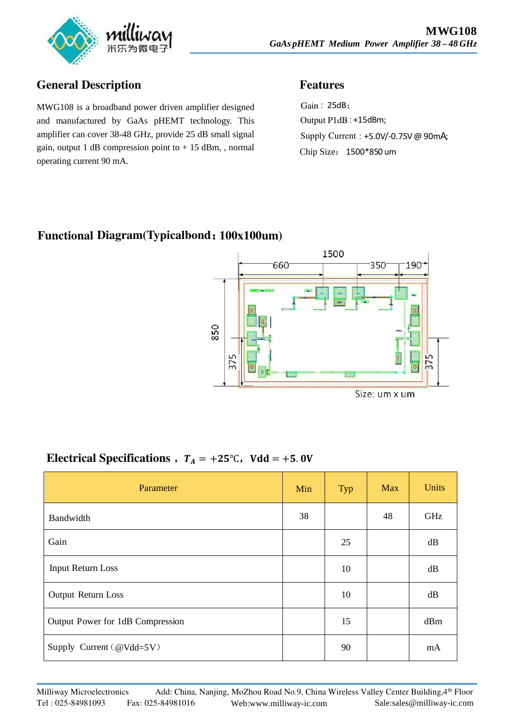

## **General Description Features**

MWG108 is a broadband power driven amplifier designed and manufactured by GaAs pHEMT technology. This amplifier can cover 38-48 GHz, provide 25 dB small signal gain, output 1 dB compression point to  $+15$  dBm, , normal operating current 90 mA.

Gain: 25dB; Output P1dB: +15dBm; Supply Current: +5.0V/-0.75V @ 90mA; Chip Size: 1500\*850 um

## **Functional Diagram(Typicalbond**:**100x100um)**



## Electrical Specifications  $T_A = +25$ °C, Vdd =  $+5.0V$

| Parameter                        | Min | Typ | <b>Max</b> | <b>Units</b> |
|----------------------------------|-----|-----|------------|--------------|
| Bandwidth                        | 38  |     | 48         | GHz          |
| Gain                             |     | 25  |            | dB           |
| <b>Input Return Loss</b>         |     | 10  |            | dB           |
| Output Return Loss               |     | 10  |            | dB           |
| Output Power for 1dB Compression |     | 15  |            | dBm          |
| Supply Current ( $@Vdd=5V$ )     |     | 90  |            | mA           |